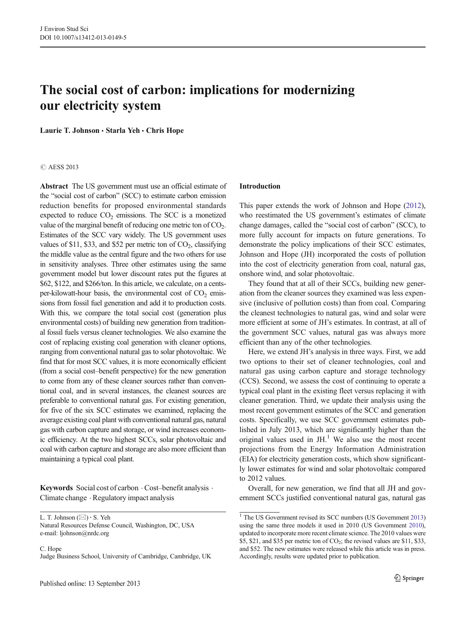# The social cost of carbon: implications for modernizing our electricity system

Laurie T. Johnson · Starla Yeh · Chris Hope

### **C AESS 2013**

Abstract The US government must use an official estimate of the "social cost of carbon" (SCC) to estimate carbon emission reduction benefits for proposed environmental standards expected to reduce  $CO<sub>2</sub>$  emissions. The SCC is a monetized value of the marginal benefit of reducing one metric ton of  $CO<sub>2</sub>$ . Estimates of the SCC vary widely. The US government uses values of \$11, \$33, and \$52 per metric ton of  $CO<sub>2</sub>$ , classifying the middle value as the central figure and the two others for use in sensitivity analyses. Three other estimates using the same government model but lower discount rates put the figures at \$62, \$122, and \$266/ton. In this article, we calculate, on a centsper-kilowatt-hour basis, the environmental cost of  $CO<sub>2</sub>$  emissions from fossil fuel generation and add it to production costs. With this, we compare the total social cost (generation plus environmental costs) of building new generation from traditional fossil fuels versus cleaner technologies. We also examine the cost of replacing existing coal generation with cleaner options, ranging from conventional natural gas to solar photovoltaic. We find that for most SCC values, it is more economically efficient (from a social cost–benefit perspective) for the new generation to come from any of these cleaner sources rather than conventional coal, and in several instances, the cleanest sources are preferable to conventional natural gas. For existing generation, for five of the six SCC estimates we examined, replacing the average existing coal plant with conventional natural gas, natural gas with carbon capture and storage, or wind increases economic efficiency. At the two highest SCCs, solar photovoltaic and coal with carbon capture and storage are also more efficient than maintaining a typical coal plant.

Keywords Social cost of carbon . Cost–benefit analysis . Climate change . Regulatory impact analysis

Natural Resources Defense Council, Washington, DC, USA e-mail: ljohnson@nrdc.org

C. Hope

Judge Business School, University of Cambridge, Cambridge, UK

#### Introduction

This paper extends the work of Johnson and Hope [\(2012\)](#page-5-0), who reestimated the US government's estimates of climate change damages, called the "social cost of carbon" (SCC), to more fully account for impacts on future generations. To demonstrate the policy implications of their SCC estimates, Johnson and Hope (JH) incorporated the costs of pollution into the cost of electricity generation from coal, natural gas, onshore wind, and solar photovoltaic.

They found that at all of their SCCs, building new generation from the cleaner sources they examined was less expensive (inclusive of pollution costs) than from coal. Comparing the cleanest technologies to natural gas, wind and solar were more efficient at some of JH's estimates. In contrast, at all of the government SCC values, natural gas was always more efficient than any of the other technologies.

Here, we extend JH's analysis in three ways. First, we add two options to their set of cleaner technologies, coal and natural gas using carbon capture and storage technology (CCS). Second, we assess the cost of continuing to operate a typical coal plant in the existing fleet versus replacing it with cleaner generation. Third, we update their analysis using the most recent government estimates of the SCC and generation costs. Specifically, we use SCC government estimates published in July 2013, which are significantly higher than the original values used in  $JH$ .<sup>1</sup> We also use the most recent projections from the Energy Information Administration (EIA) for electricity generation costs, which show significantly lower estimates for wind and solar photovoltaic compared to 2012 values.

Overall, for new generation, we find that all JH and government SCCs justified conventional natural gas, natural gas

L. T. Johnson  $(\boxtimes) \cdot$  S. Yeh

 $\frac{1}{1}$ The US Government revised its SCC numbers (US Government [2013\)](#page-6-0) using the same three models it used in 2010 (US Government [2010](#page-6-0)), updated to incorporate more recent climate science. The 2010 values were \$5, \$21, and \$35 per metric ton of CO2; the revised values are \$11, \$33, and \$52. The new estimates were released while this article was in press. Accordingly, results were updated prior to publication.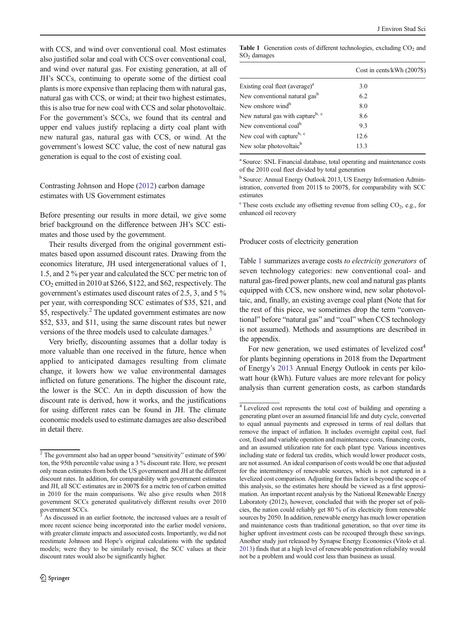with CCS, and wind over conventional coal. Most estimates also justified solar and coal with CCS over conventional coal, and wind over natural gas. For existing generation, at all of JH's SCCs, continuing to operate some of the dirtiest coal plants is more expensive than replacing them with natural gas, natural gas with CCS, or wind; at their two highest estimates, this is also true for new coal with CCS and solar photovoltaic. For the government's SCCs, we found that its central and upper end values justify replacing a dirty coal plant with new natural gas, natural gas with CCS, or wind. At the government's lowest SCC value, the cost of new natural gas generation is equal to the cost of existing coal.

Contrasting Johnson and Hope [\(2012\)](#page-5-0) carbon damage estimates with US Government estimates

Before presenting our results in more detail, we give some brief background on the difference between JH's SCC estimates and those used by the government.

Their results diverged from the original government estimates based upon assumed discount rates. Drawing from the economics literature, JH used intergenerational values of 1, 1.5, and 2 % per year and calculated the SCC per metric ton of CO2 emitted in 2010 at \$266, \$122, and \$62, respectively. The government's estimates used discount rates of 2.5, 3, and 5 % per year, with corresponding SCC estimates of \$35, \$21, and \$5, respectively.<sup>2</sup> The updated government estimates are now \$52, \$33, and \$11, using the same discount rates but newer versions of the three models used to calculate damages.<sup>3</sup>

Very briefly, discounting assumes that a dollar today is more valuable than one received in the future, hence when applied to anticipated damages resulting from climate change, it lowers how we value environmental damages inflicted on future generations. The higher the discount rate, the lower is the SCC. An in depth discussion of how the discount rate is derived, how it works, and the justifications for using different rates can be found in JH. The climate economic models used to estimate damages are also described in detail there.

|               |  | <b>Table 1</b> Generation costs of different technologies, excluding CO <sub>2</sub> and |  |
|---------------|--|------------------------------------------------------------------------------------------|--|
| $SO2$ damages |  |                                                                                          |  |

|                                              | Cost in cents/kWh $(2007\$ ) |
|----------------------------------------------|------------------------------|
| Existing coal fleet (average) <sup>a</sup>   | 3.0                          |
| New conventional natural gas <sup>b</sup>    | 6.2                          |
| New onshore wind <sup>b</sup>                | 8.0                          |
| New natural gas with capture <sup>b, c</sup> | 8.6                          |
| New conventional coal <sup>b</sup>           | 9.3                          |
| New coal with capture <sup>b, c</sup>        | 12.6                         |
| New solar photovoltaic <sup>b</sup>          | 13.3                         |

<sup>a</sup> Source: SNL Financial database, total operating and maintenance costs of the 2010 coal fleet divided by total generation

<sup>b</sup> Source: Annual Energy Outlook 2013, US Energy Information Administration, converted from 2011\$ to 2007\$, for comparability with SCC estimates

 $c$  These costs exclude any offsetting revenue from selling CO<sub>2</sub>, e.g., for enhanced oil recovery

#### Producer costs of electricity generation

Table <sup>1</sup> summarizes average costs to electricity generators of seven technology categories: new conventional coal- and natural gas-fired power plants, new coal and natural gas plants equipped with CCS, new onshore wind, new solar photovoltaic, and, finally, an existing average coal plant (Note that for the rest of this piece, we sometimes drop the term "conventional" before "natural gas" and "coal" when CCS technology is not assumed). Methods and assumptions are described in the appendix.

For new generation, we used estimates of levelized cost<sup>4</sup> for plants beginning operations in 2018 from the Department of Energy's [2013](#page-6-0) Annual Energy Outlook in cents per kilowatt hour (kWh). Future values are more relevant for policy analysis than current generation costs, as carbon standards

 $\frac{2}{3}$  The government also had an upper bound "sensitivity" estimate of \$90/ ton, the 95th percentile value using a 3 % discount rate. Here, we present only mean estimates from both the US government and JH at the different discount rates. In addition, for comparability with government estimates and JH, all SCC estimates are in 2007\$ for a metric ton of carbon emitted in 2010 for the main comparisons. We also give results when 2018 government SCCs generated qualitatively different results over 2010 government SCCs.

As discussed in an earlier footnote, the increased values are a result of more recent science being incorporated into the earlier model versions, with greater climate impacts and associated costs. Importantly, we did not reestimate Johnson and Hope's original calculations with the updated models; were they to be similarly revised, the SCC values at their discount rates would also be significantly higher.

<sup>&</sup>lt;sup>4</sup> Levelized cost represents the total cost of building and operating a generating plant over an assumed financial life and duty cycle, converted to equal annual payments and expressed in terms of real dollars that remove the impact of inflation. It includes overnight capital cost, fuel cost, fixed and variable operation and maintenance costs, financing costs, and an assumed utilization rate for each plant type. Various incentives including state or federal tax credits, which would lower producer costs, are not assumed. An ideal comparison of costs would be one that adjusted for the intermittency of renewable sources, which is not captured in a levelized cost comparison. Adjusting for this factor is beyond the scope of this analysis, so the estimates here should be viewed as a first approximation. An important recent analysis by the National Renewable Energy Laboratoty (2012), however, concluded that with the proper set of policies, the nation could reliably get 80 % of its electricity from renewable sources by 2050. In addition, renewable energy has much lower operation and maintenance costs than traditional generation, so that over time its higher upfront investment costs can be recouped through these savings. Another study just released by Synapse Energy Economics (Vitolo et al. [2013\)](#page-6-0) finds that at a high level of renewable penetration reliability would not be a problem and would cost less than business as usual.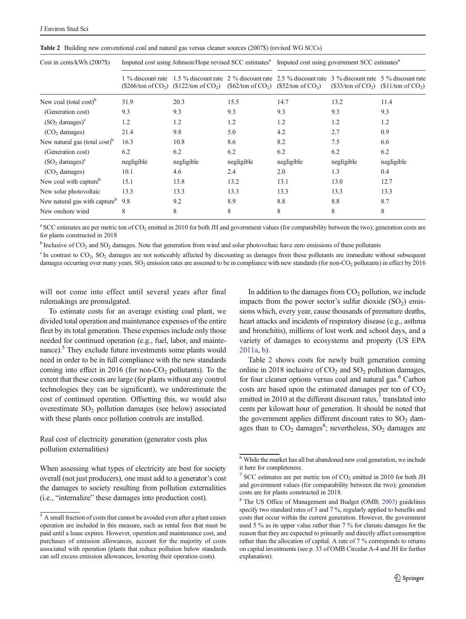| Cost in cents/kWh $(2007\$ )                 | Imputed cost using Johnson/Hope revised SCC estimates <sup>a</sup> Imputed cost using government SCC estimates <sup>a</sup> |                                                                                                                           |            |                                                                                               |                                         |            |
|----------------------------------------------|-----------------------------------------------------------------------------------------------------------------------------|---------------------------------------------------------------------------------------------------------------------------|------------|-----------------------------------------------------------------------------------------------|-----------------------------------------|------------|
|                                              | 1 % discount rate                                                                                                           | $(\$266/ton \text{ of } CO_2)$ $(\$122/ton \text{ of } CO_2)$ $(\$62/ton \text{ of } CO_2)$ $(\$52/ton \text{ of } CO_2)$ |            | 1.5 % discount rate 2 % discount rate 2.5 % discount rate 3 % discount rate 5 % discount rate | $(\$33/ton of CO2)$ $(\$11/ton of CO2)$ |            |
| New coal (total cost) $b$                    | 31.9                                                                                                                        | 20.3                                                                                                                      | 15.5       | 14.7                                                                                          | 13.2                                    | 11.4       |
| (Generation cost)                            | 9.3                                                                                                                         | 9.3                                                                                                                       | 9.3        | 9.3                                                                                           | 9.3                                     | 9.3        |
| $(SO2$ damages) <sup>c</sup>                 | 1.2                                                                                                                         | 1.2                                                                                                                       | 1.2        | 1.2                                                                                           | 1.2                                     | 1.2        |
| $(CO2)$ damages)                             | 21.4                                                                                                                        | 9.8                                                                                                                       | 5.0        | 4.2                                                                                           | 2.7                                     | 0.9        |
| New natural gas (total $cost$ ) <sup>b</sup> | 16.3                                                                                                                        | 10.8                                                                                                                      | 8.6        | 8.2                                                                                           | 7.5                                     | 6.6        |
| (Generation cost)                            | 6.2                                                                                                                         | 6.2                                                                                                                       | 6.2        | 6.2                                                                                           | 6.2                                     | 6.2        |
| $(SO_2 \, \text{damages})^c$                 | negligible                                                                                                                  | negligible                                                                                                                | negligible | negligible                                                                                    | negligible                              | negligible |
| $(CO2)$ damages)                             | 10.1                                                                                                                        | 4.6                                                                                                                       | 2.4        | 2.0                                                                                           | 1.3                                     | 0.4        |
| New coal with capture <sup>b</sup>           | 15.1                                                                                                                        | 13.8                                                                                                                      | 13.2       | 13.1                                                                                          | 13.0                                    | 12.7       |
| New solar photovoltaic                       | 13.3                                                                                                                        | 13.3                                                                                                                      | 13.3       | 13.3                                                                                          | 13.3                                    | 13.3       |
| New natural gas with capture <sup>b</sup>    | 9.8                                                                                                                         | 9.2                                                                                                                       | 8.9        | 8.8                                                                                           | 8.8                                     | 8.7        |
| New onshore wind                             | 8                                                                                                                           | 8                                                                                                                         | 8          | 8                                                                                             | 8                                       | 8          |

Table 2 Building new conventional coal and natural gas versus cleaner sources (2007\$) (revised WG SCCs)

 $^{\text{a}}$  SCC estimates are per metric ton of CO<sub>2</sub> emitted in 2010 for both JH and government values (for comparability between the two); generation costs are for plants constructed in 2018

<sup>b</sup> Inclusive of CO<sub>2</sub> and SO<sub>2</sub> damages. Note that generation from wind and solar photovoltaic have zero emissions of these pollutants

 $c$  In contrast to  $CO_2$ ,  $SO_2$  damages are not noticeably affected by discounting as damages from these pollutants are immediate without subsequent damages occurring over many years. SO<sub>2</sub> emission rates are assumed to be in compliance with new standards (for non-CO<sub>2</sub> pollutants) in effect by 2016

will not come into effect until several years after final rulemakings are promulgated.

To estimate costs for an average existing coal plant, we divided total operation and maintenance expenses of the entire fleet by its total generation. These expenses include only those needed for continued operation (e.g., fuel, labor, and maintenance).5 They exclude future investments some plants would need in order to be in full compliance with the new standards coming into effect in 2016 (for non- $CO<sub>2</sub>$  pollutants). To the extent that these costs are large (for plants without any control technologies they can be significant), we underestimate the cost of continued operation. Offsetting this, we would also overestimate  $SO_2$  pollution damages (see below) associated with these plants once pollution controls are installed.

Real cost of electricity generation (generator costs plus pollution externalities)

When assessing what types of electricity are best for society overall (not just producers), one must add to a generator's cost the damages to society resulting from pollution externalities (i.e., "internalize" these damages into production cost).

In addition to the damages from  $CO<sub>2</sub>$  pollution, we include impacts from the power sector's sulfur dioxide  $(SO<sub>2</sub>)$  emissions which, every year, cause thousands of premature deaths, heart attacks and incidents of respiratory disease (e.g., asthma and bronchitis), millions of lost work and school days, and a variety of damages to ecosystems and property (US EPA [2011a,](#page-6-0) [b\)](#page-6-0).

Table 2 shows costs for newly built generation coming online in 2018 inclusive of  $CO<sub>2</sub>$  and  $SO<sub>2</sub>$  pollution damages, for four cleaner options versus coal and natural gas.<sup>6</sup> Carbon costs are based upon the estimated damages per ton of  $CO<sub>2</sub>$ emitted in 2010 at the different discount rates, $\frac{7}{1}$  translated into cents per kilowatt hour of generation. It should be noted that the government applies different discount rates to  $SO<sub>2</sub>$  damages than to  $CO<sub>2</sub>$  damages<sup>8</sup>; nevertheless,  $SO<sub>2</sub>$  damages are

 $\frac{5}{6}$  A small fraction of costs that cannot be avoided even after a plant ceases operation are included in this measure, such as rental fees that must be paid until a lease expires. However, operation and maintenance cost, and purchases of emission allowances, account for the majority of costs associated with operation (plants that reduce pollution below standards can sell excess emission allowances, lowering their operation costs).

<sup>6</sup> While the market has all but abandoned new coal generation, we include it here for completeness.

 $7$  SCC estimates are per metric ton of CO<sub>2</sub> emitted in 2010 for both JH and government values (for comparability between the two); generation costs are for plants constructed in 2018.

<sup>8</sup> The US Office of Management and Budget (OMB; [2003](#page-6-0)) guidelines specify two standard rates of 3 and 7 %, regularly applied to benefits and costs that occur within the current generation. However, the government used 5 % as its upper value rather than 7 % for climate damages for the reason that they are expected to primarily and directly affect consumption rather than the allocation of capital. A rate of 7 % corresponds to returns on capital investments (see p. 33 of OMB Circular A-4 and JH for further explanation).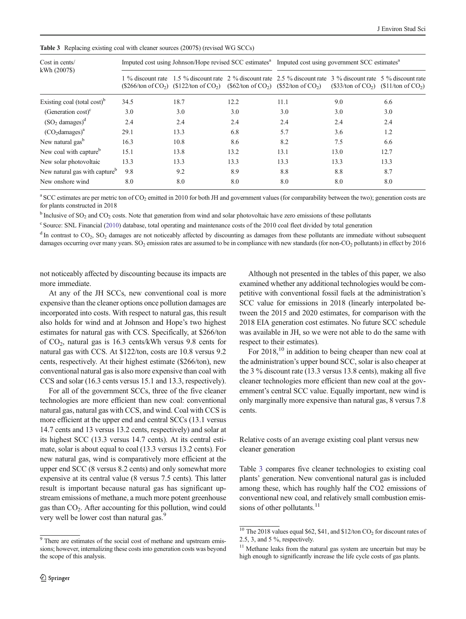| Cost in cents/                            |                   |                                                                                                                           |      | Imputed cost using Johnson/Hope revised SCC estimates <sup>a</sup> Imputed cost using government SCC estimates <sup>a</sup> |                                       |      |
|-------------------------------------------|-------------------|---------------------------------------------------------------------------------------------------------------------------|------|-----------------------------------------------------------------------------------------------------------------------------|---------------------------------------|------|
| kWh (2007\$)                              | 1 % discount rate | $(\$266/ton \text{ of } CO_2)$ $(\$122/ton \text{ of } CO_2)$ $(\$62/ton \text{ of } CO_2)$ $(\$52/ton \text{ of } CO_2)$ |      | 1.5 % discount rate 2 % discount rate 2.5 % discount rate 3 % discount rate 5 % discount rate                               | $(S33/ton of CO2)$ $(S11/ton of CO2)$ |      |
| Existing coal (total cost) <sup>b</sup>   | 34.5              | 18.7                                                                                                                      | 12.2 | 11.1                                                                                                                        | 9.0                                   | 6.6  |
| (Generation $cost$ ) <sup>c</sup>         | 3.0               | 3.0                                                                                                                       | 3.0  | 3.0                                                                                                                         | 3.0                                   | 3.0  |
| $(SO2 \, damages)^d$                      | 2.4               | 2.4                                                                                                                       | 2.4  | 2.4                                                                                                                         | 2.4                                   | 2.4  |
| $(CO_2$ damages) <sup>a</sup>             | 29.1              | 13.3                                                                                                                      | 6.8  | 5.7                                                                                                                         | 3.6                                   | 1.2  |
| New natural gas <sup>b</sup>              | 16.3              | 10.8                                                                                                                      | 8.6  | 8.2                                                                                                                         | 7.5                                   | 6.6  |
| New coal with capture <sup>b</sup>        | 15.1              | 13.8                                                                                                                      | 13.2 | 13.1                                                                                                                        | 13.0                                  | 12.7 |
| New solar photovoltaic                    | 13.3              | 13.3                                                                                                                      | 13.3 | 13.3                                                                                                                        | 13.3                                  | 13.3 |
| New natural gas with capture <sup>b</sup> | 9.8               | 9.2                                                                                                                       | 8.9  | 8.8                                                                                                                         | 8.8                                   | 8.7  |
| New onshore wind                          | 8.0               | 8.0                                                                                                                       | 8.0  | 8.0                                                                                                                         | 8.0                                   | 8.0  |

Table 3 Replacing existing coal with cleaner sources (2007\$) (revised WG SCCs)

 $^{\text{a}}$  SCC estimates are per metric ton of CO<sub>2</sub> emitted in 2010 for both JH and government values (for comparability between the two); generation costs are for plants constructed in 2018

 $b$  Inclusive of SO<sub>2</sub> and CO<sub>2</sub> costs. Note that generation from wind and solar photovoltaic have zero emissions of these pollutants

<sup>c</sup> Source: SNL Financial [\(2010\)](#page-5-0) database, total operating and maintenance costs of the 2010 coal fleet divided by total generation

 $d$  In contrast to  $CO_2$ ,  $SO_2$  damages are not noticeably affected by discounting as damages from these pollutants are immediate without subsequent damages occurring over many years. SO<sub>2</sub> emission rates are assumed to be in compliance with new standards (for non-CO<sub>2</sub> pollutants) in effect by 2016

not noticeably affected by discounting because its impacts are more immediate.

At any of the JH SCCs, new conventional coal is more expensive than the cleaner options once pollution damages are incorporated into costs. With respect to natural gas, this result also holds for wind and at Johnson and Hope's two highest estimates for natural gas with CCS. Specifically, at \$266/ton of  $CO<sub>2</sub>$ , natural gas is 16.3 cents/kWh versus 9.8 cents for natural gas with CCS. At \$122/ton, costs are 10.8 versus 9.2 cents, respectively. At their highest estimate (\$266/ton), new conventional natural gas is also more expensive than coal with CCS and solar (16.3 cents versus 15.1 and 13.3, respectively).

For all of the government SCCs, three of the five cleaner technologies are more efficient than new coal: conventional natural gas, natural gas with CCS, and wind. Coal with CCS is more efficient at the upper end and central SCCs (13.1 versus 14.7 cents and 13 versus 13.2 cents, respectively) and solar at its highest SCC (13.3 versus 14.7 cents). At its central estimate, solar is about equal to coal (13.3 versus 13.2 cents). For new natural gas, wind is comparatively more efficient at the upper end SCC (8 versus 8.2 cents) and only somewhat more expensive at its central value (8 versus 7.5 cents). This latter result is important because natural gas has significant upstream emissions of methane, a much more potent greenhouse gas than CO<sub>2</sub>. After accounting for this pollution, wind could very well be lower cost than natural gas.<sup>9</sup>

Although not presented in the tables of this paper, we also examined whether any additional technologies would be competitive with conventional fossil fuels at the administration's SCC value for emissions in 2018 (linearly interpolated between the 2015 and 2020 estimates, for comparison with the 2018 EIA generation cost estimates. No future SCC schedule was available in JH, so we were not able to do the same with respect to their estimates).

For  $2018$ ,<sup>10</sup> in addition to being cheaper than new coal at the administration's upper bound SCC, solar is also cheaper at the 3 % discount rate (13.3 versus 13.8 cents), making all five cleaner technologies more efficient than new coal at the government's central SCC value. Equally important, new wind is only marginally more expensive than natural gas, 8 versus 7.8 cents.

Relative costs of an average existing coal plant versus new cleaner generation

Table 3 compares five cleaner technologies to existing coal plants' generation. New conventional natural gas is included among these, which has roughly half the CO2 emissions of conventional new coal, and relatively small combustion emissions of other pollutants. $^{11}$ 

 $\frac{9}{9}$  There are estimates of the social cost of methane and upstream emissions; however, internalizing these costs into generation costs was beyond the scope of this analysis.

 $\frac{10}{10}$  The 2018 values equal \$62, \$41, and \$12/ton CO<sub>2</sub> for discount rates of 2.5, 3, and 5 %, respectively.

<sup>&</sup>lt;sup>11</sup> Methane leaks from the natural gas system are uncertain but may be high enough to significantly increase the life cycle costs of gas plants.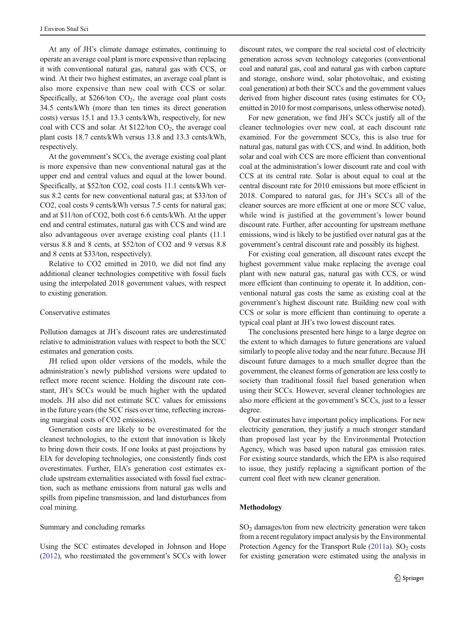At any of JH's climate damage estimates, continuing to operate an average coal plant is more expensive than replacing it with conventional natural gas, natural gas with CCS, or wind. At their two highest estimates, an average coal plant is also more expensive than new coal with CCS or solar. Specifically, at  $$266/t$ on  $CO<sub>2</sub>$ , the average coal plant costs 34.5 cents/kWh (more than ten times its direct generation costs) versus 15.1 and 13.3 cents/kWh, respectively, for new coal with CCS and solar. At  $$122/ton CO<sub>2</sub>$ , the average coal plant costs 18.7 cents/kWh versus 13.8 and 13.3 cents/kWh, respectively.

At the government's SCCs, the average existing coal plant is more expensive than new conventional natural gas at the upper end and central values and equal at the lower bound. Specifically, at \$52/ton CO2, coal costs 11.1 cents/kWh versus 8.2 cents for new conventional natural gas; at \$33/ton of CO2, coal costs 9 cents/kWh versus 7.5 cents for natural gas; and at \$11/ton of CO2, both cost 6.6 cents/kWh. At the upper end and central estimates, natural gas with CCS and wind are also advantageous over average existing coal plants (11.1 versus 8.8 and 8 cents, at \$52/ton of CO2 and 9 versus 8.8 and 8 cents at \$33/ton, respectively).

Relative to CO2 emitted in 2010, we did not find any additional cleaner technologies competitive with fossil fuels using the interpolated 2018 government values, with respect to existing generation.

#### Conservative estimates

Pollution damages at JH's discount rates are underestimated relative to administration values with respect to both the SCC estimates and generation costs.

JH relied upon older versions of the models, while the administration's newly published versions were updated to reflect more recent science. Holding the discount rate constant, JH's SCCs would be much higher with the updated models. JH also did not estimate SCC values for emissions in the future years (the SCC rises over time, reflecting increasing marginal costs of CO2 emissions).

Generation costs are likely to be overestimated for the cleanest technologies, to the extent that innovation is likely to bring down their costs. If one looks at past projections by EIA for developing technologies, one consistently finds cost overestimates. Further, EIA's generation cost estimates exclude upstream externalities associated with fossil fuel extraction, such as methane emissions from natural gas wells and spills from pipeline transmission, and land disturbances from coal mining.

#### Summary and concluding remarks

Using the SCC estimates developed in Johnson and Hope [\(2012](#page-5-0)), who reestimated the government's SCCs with lower discount rates, we compare the real societal cost of electricity generation across seven technology categories (conventional coal and natural gas, coal and natural gas with carbon capture and storage, onshore wind, solar photovoltaic, and existing coal generation) at both their SCCs and the government values derived from higher discount rates (using estimates for  $CO<sub>2</sub>$ emitted in 2010 for most comparisons, unless otherwise noted).

For new generation, we find JH's SCCs justify all of the cleaner technologies over new coal, at each discount rate examined. For the government SCCs, this is also true for natural gas, natural gas with CCS, and wind. In addition, both solar and coal with CCS are more efficient than conventional coal at the administration's lower discount rate and coal with CCS at its central rate. Solar is about equal to coal at the central discount rate for 2010 emissions but more efficient in 2018. Compared to natural gas, for JH's SCCs all of the cleaner sources are more efficient at one or more SCC value, while wind is justified at the government's lower bound discount rate. Further, after accounting for upstream methane emissions, wind is likely to be justified over natural gas at the government's central discount rate and possibly its highest.

For existing coal generation, all discount rates except the highest government value make replacing the average coal plant with new natural gas, natural gas with CCS, or wind more efficient than continuing to operate it. In addition, conventional natural gas costs the same as existing coal at the government's highest discount rate. Building new coal with CCS or solar is more efficient than continuing to operate a typical coal plant at JH's two lowest discount rates.

The conclusions presented here hinge to a large degree on the extent to which damages to future generations are valued similarly to people alive today and the near future. Because JH discount future damages to a much smaller degree than the government, the cleanest forms of generation are less costly to society than traditional fossil fuel based generation when using their SCCs. However, several cleaner technologies are also more efficient at the government's SCCs, just to a lesser degree.

Our estimates have important policy implications. For new electricity generation, they justify a much stronger standard than proposed last year by the Environmental Protection Agency, which was based upon natural gas emission rates. For existing source standards, which the EPA is also required to issue, they justify replacing a significant portion of the current coal fleet with new cleaner generation.

## Methodology

SO2 damages/ton from new electricity generation were taken from a recent regulatory impact analysis by the Environmental Protection Agency for the Transport Rule  $(2011a)$ . SO<sub>2</sub> costs for existing generation were estimated using the analysis in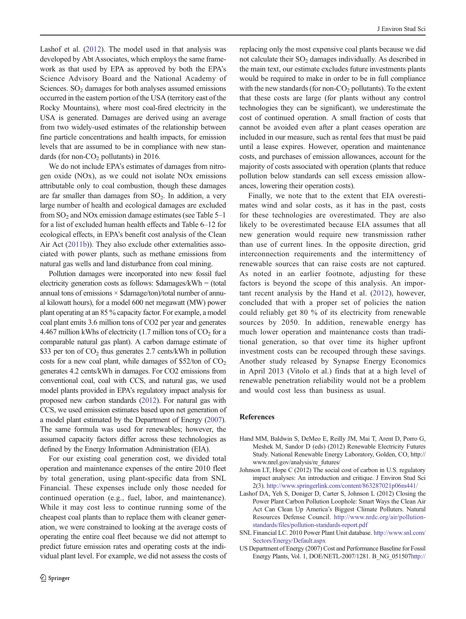<span id="page-5-0"></span>Lashof et al. (2012). The model used in that analysis was developed by Abt Associates, which employs the same framework as that used by EPA as approved by both the EPA's Science Advisory Board and the National Academy of Sciences.  $SO<sub>2</sub>$  damages for both analyses assumed emissions occurred in the eastern portion of the USA (territory east of the Rocky Mountains), where most coal-fired electricity in the USA is generated. Damages are derived using an average from two widely-used estimates of the relationship between fine particle concentrations and health impacts, for emission levels that are assumed to be in compliance with new standards (for non- $CO<sub>2</sub>$  pollutants) in 2016.

We do not include EPA's estimates of damages from nitrogen oxide (NOx), as we could not isolate NOx emissions attributable only to coal combustion, though these damages are far smaller than damages from  $SO_2$ . In addition, a very large number of health and ecological damages are excluded from  $SO_2$  and NOx emission damage estimates (see Table 5–1) for a list of excluded human health effects and Table 6–12 for ecological effects, in EPA's benefit cost analysis of the Clean Air Act ([2011b\)](#page-6-0)). They also exclude other externalities associated with power plants, such as methane emissions from natural gas wells and land disturbance from coal mining.

Pollution damages were incorporated into new fossil fuel electricity generation costs as follows: \$damages/kWh = (total annual tons of emissions  $\times$  \$damage/ton)/total number of annual kilowatt hours), for a model 600 net megawatt (MW) power plant operating at an 85 % capacity factor. For example, a model coal plant emits 3.6 million tons of CO2 per year and generates 4.467 million kWhs of electricity (1.7 million tons of  $CO<sub>2</sub>$  for a comparable natural gas plant). A carbon damage estimate of \$33 per ton of  $CO<sub>2</sub>$  thus generates 2.7 cents/kWh in pollution costs for a new coal plant, while damages of  $$52/t$ on of  $CO<sub>2</sub>$ generates 4.2 cents/kWh in damages. For CO2 emissions from conventional coal, coal with CCS, and natural gas, we used model plants provided in EPA's regulatory impact analysis for proposed new carbon standards [\(2012](#page-6-0)). For natural gas with CCS, we used emission estimates based upon net generation of a model plant estimated by the Department of Energy (2007). The same formula was used for renewables; however, the assumed capacity factors differ across these technologies as defined by the Energy Information Administration (EIA).

For our existing coal generation cost, we divided total operation and maintenance expenses of the entire 2010 fleet by total generation, using plant-specific data from SNL Financial. These expenses include only those needed for continued operation (e.g., fuel, labor, and maintenance). While it may cost less to continue running some of the cheapest coal plants than to replace them with cleaner generation, we were constrained to looking at the average costs of operating the entire coal fleet because we did not attempt to predict future emission rates and operating costs at the individual plant level. For example, we did not assess the costs of replacing only the most expensive coal plants because we did not calculate their  $SO<sub>2</sub>$  damages individually. As described in the main text, our estimate excludes future investments plants would be required to make in order to be in full compliance with the new standards (for non- $CO<sub>2</sub>$  pollutants). To the extent that these costs are large (for plants without any control technologies they can be significant), we underestimate the cost of continued operation. A small fraction of costs that cannot be avoided even after a plant ceases operation are included in our measure, such as rental fees that must be paid until a lease expires. However, operation and maintenance costs, and purchases of emission allowances, account for the majority of costs associated with operation (plants that reduce pollution below standards can sell excess emission allowances, lowering their operation costs).

Finally, we note that to the extent that EIA overestimates wind and solar costs, as it has in the past, costs for these technologies are overestimated. They are also likely to be overestimated because EIA assumes that all new generation would require new transmission rather than use of current lines. In the opposite direction, grid interconnection requirements and the intermittency of renewable sources that can raise costs are not captured. As noted in an earlier footnote, adjusting for these factors is beyond the scope of this analysis. An important recent analysis by the Hand et al. (2012), however, concluded that with a proper set of policies the nation could reliably get 80 % of its electricity from renewable sources by 2050. In addition, renewable energy has much lower operation and maintenance costs than traditional generation, so that over time its higher upfront investment costs can be recouped through these savings. Another study released by Synapse Energy Economics in April 2013 (Vitolo et al.) finds that at a high level of renewable penetration reliability would not be a problem and would cost less than business as usual.

## References

- Hand MM, Baldwin S, DeMeo E, Reilly JM, Mai T, Arent D, Porro G, Meshek M, Sandor D (eds) (2012) Renewable Electricity Futures Study. National Renewable Energy Laboratory, Golden, CO, http:// www.nrel.gov/analysis/re\_futures/
- Johnson LT, Hope C (2012) The social cost of carbon in U.S. regulatory impact analyses: An introduction and critique. J Environ Stud Sci 2(3). <http://www.springerlink.com/content/863287021p06m441/>
- Lashof DA, Yeh S, Doniger D, Carter S, Johnson L (2012) Closing the Power Plant Carbon Pollution Loophole: Smart Ways the Clean Air Act Can Clean Up America's Biggest Climate Polluters. Natural Resources Defense Council. [http://www.nrdc.org/air/pollution](http://www.nrdc.org/air/pollution-standards/files/pollution-standards-report.pdf)[standards/files/pollution-standards-report.pdf](http://www.nrdc.org/air/pollution-standards/files/pollution-standards-report.pdf)
- SNL Financial LC. 2010 Power Plant Unit database. [http://www.snl.com/](http://www.snl.com/Sectors/Energy/Default.aspx) [Sectors/Energy/Default.aspx](http://www.snl.com/Sectors/Energy/Default.aspx)
- US Department of Energy (2007) Cost and Performance Baseline for Fossil Energy Plants, Vol. 1, DOE/NETL-2007/1281. B\_NG\_05150[7http://](http://www.netl.doe.gov/KMD/cds/disk50/NGCC%20Technology_051507.pdf)